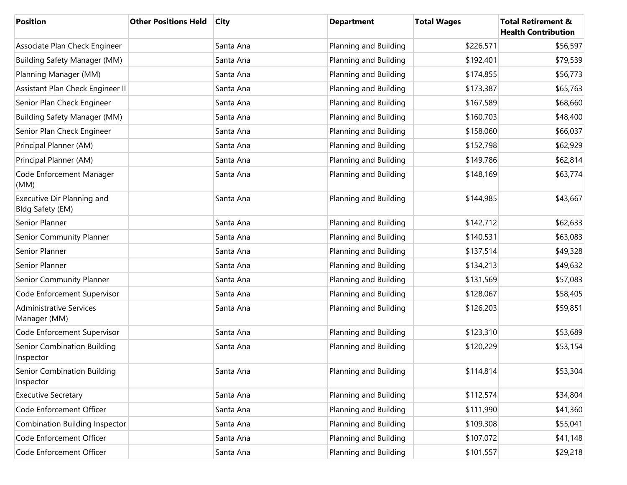| <b>Position</b>                                | <b>Other Positions Held</b> | <b>City</b> | <b>Department</b>     | <b>Total Wages</b> | <b>Total Retirement &amp;</b><br><b>Health Contribution</b> |
|------------------------------------------------|-----------------------------|-------------|-----------------------|--------------------|-------------------------------------------------------------|
| Associate Plan Check Engineer                  |                             | Santa Ana   | Planning and Building | \$226,571          | \$56,597                                                    |
| <b>Building Safety Manager (MM)</b>            |                             | Santa Ana   | Planning and Building | \$192,401          | \$79,539                                                    |
| Planning Manager (MM)                          |                             | Santa Ana   | Planning and Building | \$174,855          | \$56,773                                                    |
| Assistant Plan Check Engineer II               |                             | Santa Ana   | Planning and Building | \$173,387          | \$65,763                                                    |
| Senior Plan Check Engineer                     |                             | Santa Ana   | Planning and Building | \$167,589          | \$68,660                                                    |
| <b>Building Safety Manager (MM)</b>            |                             | Santa Ana   | Planning and Building | \$160,703          | \$48,400                                                    |
| Senior Plan Check Engineer                     |                             | Santa Ana   | Planning and Building | \$158,060          | \$66,037                                                    |
| Principal Planner (AM)                         |                             | Santa Ana   | Planning and Building | \$152,798          | \$62,929                                                    |
| Principal Planner (AM)                         |                             | Santa Ana   | Planning and Building | \$149,786          | \$62,814                                                    |
| Code Enforcement Manager<br>(MM)               |                             | Santa Ana   | Planning and Building | \$148,169          | \$63,774                                                    |
| Executive Dir Planning and<br>Bldg Safety (EM) |                             | Santa Ana   | Planning and Building | \$144,985          | \$43,667                                                    |
| Senior Planner                                 |                             | Santa Ana   | Planning and Building | \$142,712          | \$62,633                                                    |
| Senior Community Planner                       |                             | Santa Ana   | Planning and Building | \$140,531          | \$63,083                                                    |
| Senior Planner                                 |                             | Santa Ana   | Planning and Building | \$137,514          | \$49,328                                                    |
| Senior Planner                                 |                             | Santa Ana   | Planning and Building | \$134,213          | \$49,632                                                    |
| Senior Community Planner                       |                             | Santa Ana   | Planning and Building | \$131,569          | \$57,083                                                    |
| Code Enforcement Supervisor                    |                             | Santa Ana   | Planning and Building | \$128,067          | \$58,405                                                    |
| <b>Administrative Services</b><br>Manager (MM) |                             | Santa Ana   | Planning and Building | \$126,203          | \$59,851                                                    |
| Code Enforcement Supervisor                    |                             | Santa Ana   | Planning and Building | \$123,310          | \$53,689                                                    |
| Senior Combination Building<br>Inspector       |                             | Santa Ana   | Planning and Building | \$120,229          | \$53,154                                                    |
| Senior Combination Building<br>Inspector       |                             | Santa Ana   | Planning and Building | \$114,814          | \$53,304                                                    |
| <b>Executive Secretary</b>                     |                             | Santa Ana   | Planning and Building | \$112,574          | \$34,804                                                    |
| Code Enforcement Officer                       |                             | Santa Ana   | Planning and Building | \$111,990          | \$41,360                                                    |
| Combination Building Inspector                 |                             | Santa Ana   | Planning and Building | \$109,308          | \$55,041                                                    |
| Code Enforcement Officer                       |                             | Santa Ana   | Planning and Building | \$107,072          | \$41,148                                                    |
| Code Enforcement Officer                       |                             | Santa Ana   | Planning and Building | \$101,557          | \$29,218                                                    |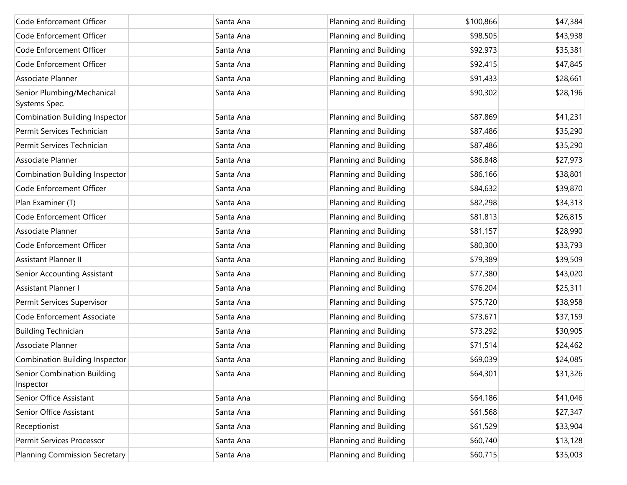| Code Enforcement Officer                    | Santa Ana | Planning and Building | \$100,866 | \$47,384 |
|---------------------------------------------|-----------|-----------------------|-----------|----------|
| Code Enforcement Officer                    | Santa Ana | Planning and Building | \$98,505  | \$43,938 |
| Code Enforcement Officer                    | Santa Ana | Planning and Building | \$92,973  | \$35,381 |
| Code Enforcement Officer                    | Santa Ana | Planning and Building | \$92,415  | \$47,845 |
| Associate Planner                           | Santa Ana | Planning and Building | \$91,433  | \$28,661 |
| Senior Plumbing/Mechanical<br>Systems Spec. | Santa Ana | Planning and Building | \$90,302  | \$28,196 |
| <b>Combination Building Inspector</b>       | Santa Ana | Planning and Building | \$87,869  | \$41,231 |
| Permit Services Technician                  | Santa Ana | Planning and Building | \$87,486  | \$35,290 |
| Permit Services Technician                  | Santa Ana | Planning and Building | \$87,486  | \$35,290 |
| Associate Planner                           | Santa Ana | Planning and Building | \$86,848  | \$27,973 |
| <b>Combination Building Inspector</b>       | Santa Ana | Planning and Building | \$86,166  | \$38,801 |
| Code Enforcement Officer                    | Santa Ana | Planning and Building | \$84,632  | \$39,870 |
| Plan Examiner (T)                           | Santa Ana | Planning and Building | \$82,298  | \$34,313 |
| Code Enforcement Officer                    | Santa Ana | Planning and Building | \$81,813  | \$26,815 |
| Associate Planner                           | Santa Ana | Planning and Building | \$81,157  | \$28,990 |
| Code Enforcement Officer                    | Santa Ana | Planning and Building | \$80,300  | \$33,793 |
| <b>Assistant Planner II</b>                 | Santa Ana | Planning and Building | \$79,389  | \$39,509 |
| Senior Accounting Assistant                 | Santa Ana | Planning and Building | \$77,380  | \$43,020 |
| Assistant Planner I                         | Santa Ana | Planning and Building | \$76,204  | \$25,311 |
| Permit Services Supervisor                  | Santa Ana | Planning and Building | \$75,720  | \$38,958 |
| Code Enforcement Associate                  | Santa Ana | Planning and Building | \$73,671  | \$37,159 |
| <b>Building Technician</b>                  | Santa Ana | Planning and Building | \$73,292  | \$30,905 |
| Associate Planner                           | Santa Ana | Planning and Building | \$71,514  | \$24,462 |
| Combination Building Inspector              | Santa Ana | Planning and Building | \$69,039  | \$24,085 |
| Senior Combination Building<br>Inspector    | Santa Ana | Planning and Building | \$64,301  | \$31,326 |
| Senior Office Assistant                     | Santa Ana | Planning and Building | \$64,186  | \$41,046 |
| Senior Office Assistant                     | Santa Ana | Planning and Building | \$61,568  | \$27,347 |
| Receptionist                                | Santa Ana | Planning and Building | \$61,529  | \$33,904 |
| Permit Services Processor                   | Santa Ana | Planning and Building | \$60,740  | \$13,128 |
| <b>Planning Commission Secretary</b>        | Santa Ana | Planning and Building | \$60,715  | \$35,003 |